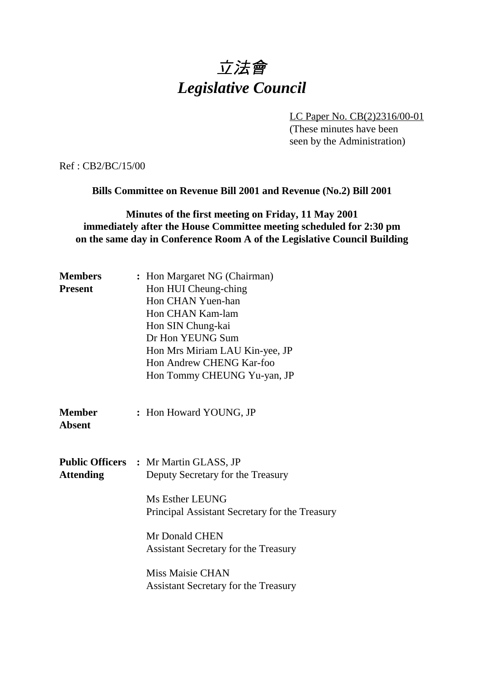# 立法會 *Legislative Council*

LC Paper No. CB(2)2316/00-01

(These minutes have been seen by the Administration)

Ref : CB2/BC/15/00

**Bills Committee on Revenue Bill 2001 and Revenue (No.2) Bill 2001**

## **Minutes of the first meeting on Friday, 11 May 2001 immediately after the House Committee meeting scheduled for 2:30 pm on the same day in Conference Room A of the Legislative Council Building**

| <b>Members</b><br><b>Present</b> | : Hon Margaret NG (Chairman)<br>Hon HUI Cheung-ching<br>Hon CHAN Yuen-han<br>Hon CHAN Kam-lam<br>Hon SIN Chung-kai<br>Dr Hon YEUNG Sum<br>Hon Mrs Miriam LAU Kin-yee, JP<br>Hon Andrew CHENG Kar-foo                                                                                              |
|----------------------------------|---------------------------------------------------------------------------------------------------------------------------------------------------------------------------------------------------------------------------------------------------------------------------------------------------|
| <b>Member</b><br><b>Absent</b>   | Hon Tommy CHEUNG Yu-yan, JP<br>: Hon Howard YOUNG, JP                                                                                                                                                                                                                                             |
| <b>Attending</b>                 | <b>Public Officers : Mr Martin GLASS, JP</b><br>Deputy Secretary for the Treasury<br>Ms Esther LEUNG<br>Principal Assistant Secretary for the Treasury<br>Mr Donald CHEN<br><b>Assistant Secretary for the Treasury</b><br><b>Miss Maisie CHAN</b><br><b>Assistant Secretary for the Treasury</b> |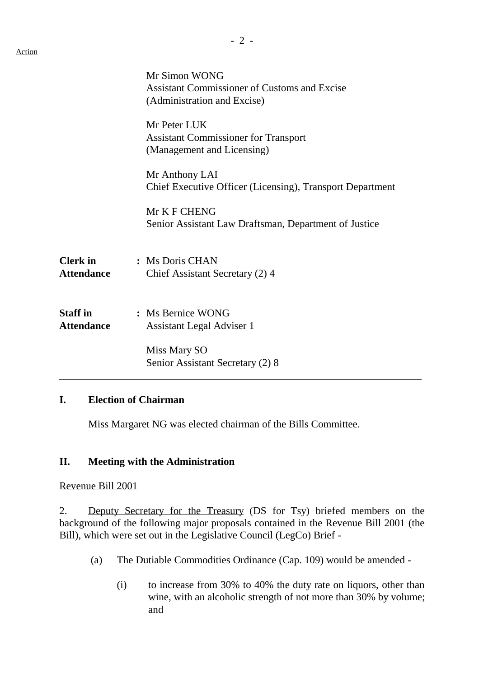|                                      | Mr Simon WONG<br><b>Assistant Commissioner of Customs and Excise</b><br>(Administration and Excise) |
|--------------------------------------|-----------------------------------------------------------------------------------------------------|
|                                      | Mr Peter LUK<br><b>Assistant Commissioner for Transport</b><br>(Management and Licensing)           |
|                                      | Mr Anthony LAI<br>Chief Executive Officer (Licensing), Transport Department                         |
|                                      | Mr K F CHENG<br>Senior Assistant Law Draftsman, Department of Justice                               |
| <b>Clerk</b> in<br><b>Attendance</b> | : Ms Doris CHAN<br>Chief Assistant Secretary (2) 4                                                  |
| <b>Staff in</b><br><b>Attendance</b> | : Ms Bernice WONG<br>Assistant Legal Adviser 1                                                      |
|                                      | Miss Mary SO<br>Senior Assistant Secretary (2) 8                                                    |

#### **I. Election of Chairman**

Miss Margaret NG was elected chairman of the Bills Committee.

### **II. Meeting with the Administration**

Revenue Bill 2001

2. Deputy Secretary for the Treasury (DS for Tsy) briefed members on the background of the following major proposals contained in the Revenue Bill 2001 (the Bill), which were set out in the Legislative Council (LegCo) Brief -

- (a) The Dutiable Commodities Ordinance (Cap. 109) would be amended
	- (i) to increase from 30% to 40% the duty rate on liquors, other than wine, with an alcoholic strength of not more than 30% by volume; and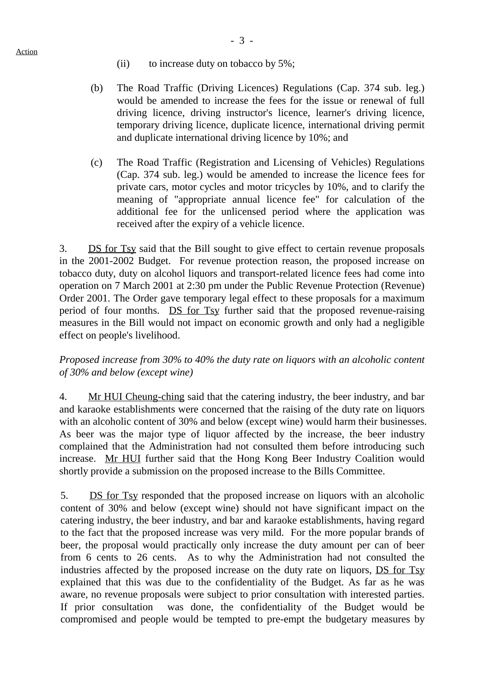- (ii) to increase duty on tobacco by 5%;
- (b) The Road Traffic (Driving Licences) Regulations (Cap. 374 sub. leg.) would be amended to increase the fees for the issue or renewal of full driving licence, driving instructor's licence, learner's driving licence, temporary driving licence, duplicate licence, international driving permit and duplicate international driving licence by 10%; and
- (c) The Road Traffic (Registration and Licensing of Vehicles) Regulations (Cap. 374 sub. leg.) would be amended to increase the licence fees for private cars, motor cycles and motor tricycles by 10%, and to clarify the meaning of "appropriate annual licence fee" for calculation of the additional fee for the unlicensed period where the application was received after the expiry of a vehicle licence.

3. DS for Tsy said that the Bill sought to give effect to certain revenue proposals in the 2001-2002 Budget. For revenue protection reason, the proposed increase on tobacco duty, duty on alcohol liquors and transport-related licence fees had come into operation on 7 March 2001 at 2:30 pm under the Public Revenue Protection (Revenue) Order 2001. The Order gave temporary legal effect to these proposals for a maximum period of four months. DS for Tsy further said that the proposed revenue-raising measures in the Bill would not impact on economic growth and only had a negligible effect on people's livelihood.

## *Proposed increase from 30% to 40% the duty rate on liquors with an alcoholic content of 30% and below (except wine)*

4. Mr HUI Cheung-ching said that the catering industry, the beer industry, and bar and karaoke establishments were concerned that the raising of the duty rate on liquors with an alcoholic content of 30% and below (except wine) would harm their businesses. As beer was the major type of liquor affected by the increase, the beer industry complained that the Administration had not consulted them before introducing such increase. Mr HUI further said that the Hong Kong Beer Industry Coalition would shortly provide a submission on the proposed increase to the Bills Committee.

5. DS for Tsy responded that the proposed increase on liquors with an alcoholic content of 30% and below (except wine) should not have significant impact on the catering industry, the beer industry, and bar and karaoke establishments, having regard to the fact that the proposed increase was very mild. For the more popular brands of beer, the proposal would practically only increase the duty amount per can of beer from 6 cents to 26 cents. As to why the Administration had not consulted the industries affected by the proposed increase on the duty rate on liquors, DS for Tsy explained that this was due to the confidentiality of the Budget. As far as he was aware, no revenue proposals were subject to prior consultation with interested parties. If prior consultation was done, the confidentiality of the Budget would be compromised and people would be tempted to pre-empt the budgetary measures by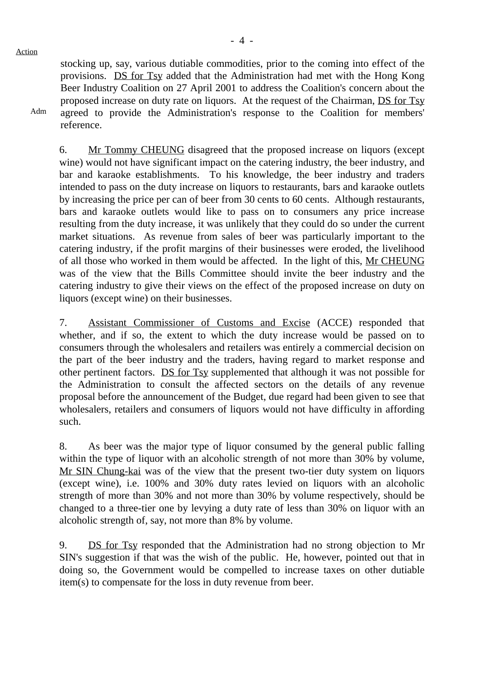Action

Adm

stocking up, say, various dutiable commodities, prior to the coming into effect of the provisions. DS for Tsy added that the Administration had met with the Hong Kong Beer Industry Coalition on 27 April 2001 to address the Coalition's concern about the proposed increase on duty rate on liquors. At the request of the Chairman, DS for Tsy agreed to provide the Administration's response to the Coalition for members' reference.

6. Mr Tommy CHEUNG disagreed that the proposed increase on liquors (except wine) would not have significant impact on the catering industry, the beer industry, and bar and karaoke establishments. To his knowledge, the beer industry and traders intended to pass on the duty increase on liquors to restaurants, bars and karaoke outlets by increasing the price per can of beer from 30 cents to 60 cents. Although restaurants, bars and karaoke outlets would like to pass on to consumers any price increase resulting from the duty increase, it was unlikely that they could do so under the current market situations. As revenue from sales of beer was particularly important to the catering industry, if the profit margins of their businesses were eroded, the livelihood of all those who worked in them would be affected. In the light of this, Mr CHEUNG was of the view that the Bills Committee should invite the beer industry and the catering industry to give their views on the effect of the proposed increase on duty on liquors (except wine) on their businesses.

7. Assistant Commissioner of Customs and Excise (ACCE) responded that whether, and if so, the extent to which the duty increase would be passed on to consumers through the wholesalers and retailers was entirely a commercial decision on the part of the beer industry and the traders, having regard to market response and other pertinent factors. DS for Tsy supplemented that although it was not possible for the Administration to consult the affected sectors on the details of any revenue proposal before the announcement of the Budget, due regard had been given to see that wholesalers, retailers and consumers of liquors would not have difficulty in affording such.

8. As beer was the major type of liquor consumed by the general public falling within the type of liquor with an alcoholic strength of not more than 30% by volume, Mr SIN Chung-kai was of the view that the present two-tier duty system on liquors (except wine), i.e. 100% and 30% duty rates levied on liquors with an alcoholic strength of more than 30% and not more than 30% by volume respectively, should be changed to a three-tier one by levying a duty rate of less than 30% on liquor with an alcoholic strength of, say, not more than 8% by volume.

9. DS for Tsy responded that the Administration had no strong objection to Mr SIN's suggestion if that was the wish of the public. He, however, pointed out that in doing so, the Government would be compelled to increase taxes on other dutiable item(s) to compensate for the loss in duty revenue from beer.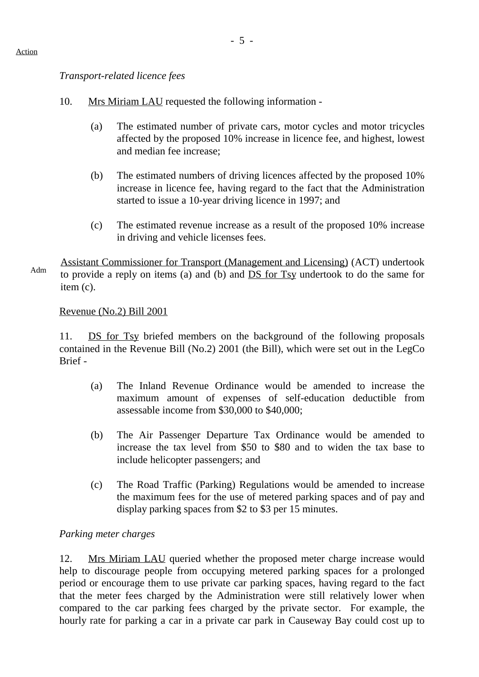### *Transport-related licence fees*

- 10. Mrs Miriam LAU requested the following information
	- (a) The estimated number of private cars, motor cycles and motor tricycles affected by the proposed 10% increase in licence fee, and highest, lowest and median fee increase;
	- (b) The estimated numbers of driving licences affected by the proposed 10% increase in licence fee, having regard to the fact that the Administration started to issue a 10-year driving licence in 1997; and
	- (c) The estimated revenue increase as a result of the proposed 10% increase in driving and vehicle licenses fees.

Assistant Commissioner for Transport (Management and Licensing) (ACT) undertook to provide a reply on items (a) and (b) and DS for Tsy undertook to do the same for item (c).

### Revenue (No.2) Bill 2001

11. DS for Tsy briefed members on the background of the following proposals contained in the Revenue Bill (No.2) 2001 (the Bill), which were set out in the LegCo Brief -

- (a) The Inland Revenue Ordinance would be amended to increase the maximum amount of expenses of self-education deductible from assessable income from \$30,000 to \$40,000;
- (b) The Air Passenger Departure Tax Ordinance would be amended to increase the tax level from \$50 to \$80 and to widen the tax base to include helicopter passengers; and
- (c) The Road Traffic (Parking) Regulations would be amended to increase the maximum fees for the use of metered parking spaces and of pay and display parking spaces from \$2 to \$3 per 15 minutes.

## *Parking meter charges*

12. Mrs Miriam LAU queried whether the proposed meter charge increase would help to discourage people from occupying metered parking spaces for a prolonged period or encourage them to use private car parking spaces, having regard to the fact that the meter fees charged by the Administration were still relatively lower when compared to the car parking fees charged by the private sector. For example, the hourly rate for parking a car in a private car park in Causeway Bay could cost up to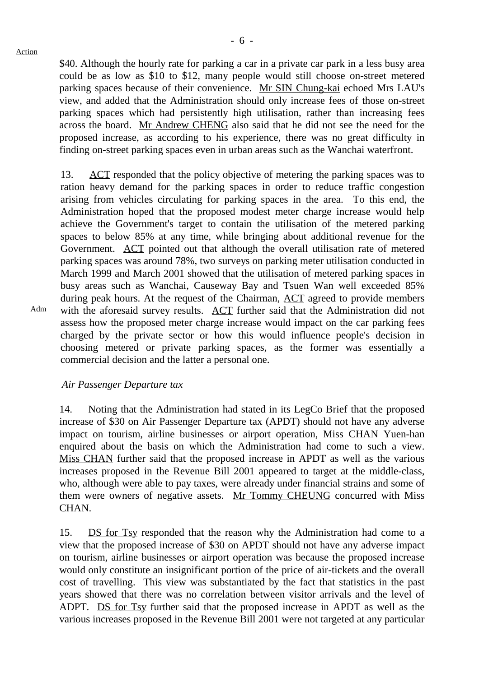Adm

\$40. Although the hourly rate for parking a car in a private car park in a less busy area could be as low as \$10 to \$12, many people would still choose on-street metered parking spaces because of their convenience. Mr SIN Chung-kai echoed Mrs LAU's view, and added that the Administration should only increase fees of those on-street parking spaces which had persistently high utilisation, rather than increasing fees across the board. Mr Andrew CHENG also said that he did not see the need for the proposed increase, as according to his experience, there was no great difficulty in finding on-street parking spaces even in urban areas such as the Wanchai waterfront.

13. ACT responded that the policy objective of metering the parking spaces was to ration heavy demand for the parking spaces in order to reduce traffic congestion arising from vehicles circulating for parking spaces in the area. To this end, the Administration hoped that the proposed modest meter charge increase would help achieve the Government's target to contain the utilisation of the metered parking spaces to below 85% at any time, while bringing about additional revenue for the Government. ACT pointed out that although the overall utilisation rate of metered parking spaces was around 78%, two surveys on parking meter utilisation conducted in March 1999 and March 2001 showed that the utilisation of metered parking spaces in busy areas such as Wanchai, Causeway Bay and Tsuen Wan well exceeded 85% during peak hours. At the request of the Chairman, ACT agreed to provide members with the aforesaid survey results. ACT further said that the Administration did not assess how the proposed meter charge increase would impact on the car parking fees charged by the private sector or how this would influence people's decision in choosing metered or private parking spaces, as the former was essentially a commercial decision and the latter a personal one.

*Air Passenger Departure tax*

14. Noting that the Administration had stated in its LegCo Brief that the proposed increase of \$30 on Air Passenger Departure tax (APDT) should not have any adverse impact on tourism, airline businesses or airport operation, Miss CHAN Yuen-han enquired about the basis on which the Administration had come to such a view. Miss CHAN further said that the proposed increase in APDT as well as the various increases proposed in the Revenue Bill 2001 appeared to target at the middle-class, who, although were able to pay taxes, were already under financial strains and some of them were owners of negative assets. Mr Tommy CHEUNG concurred with Miss CHAN.

15. DS for Tsy responded that the reason why the Administration had come to a view that the proposed increase of \$30 on APDT should not have any adverse impact on tourism, airline businesses or airport operation was because the proposed increase would only constitute an insignificant portion of the price of air-tickets and the overall cost of travelling. This view was substantiated by the fact that statistics in the past years showed that there was no correlation between visitor arrivals and the level of ADPT. DS for Tsy further said that the proposed increase in APDT as well as the various increases proposed in the Revenue Bill 2001 were not targeted at any particular